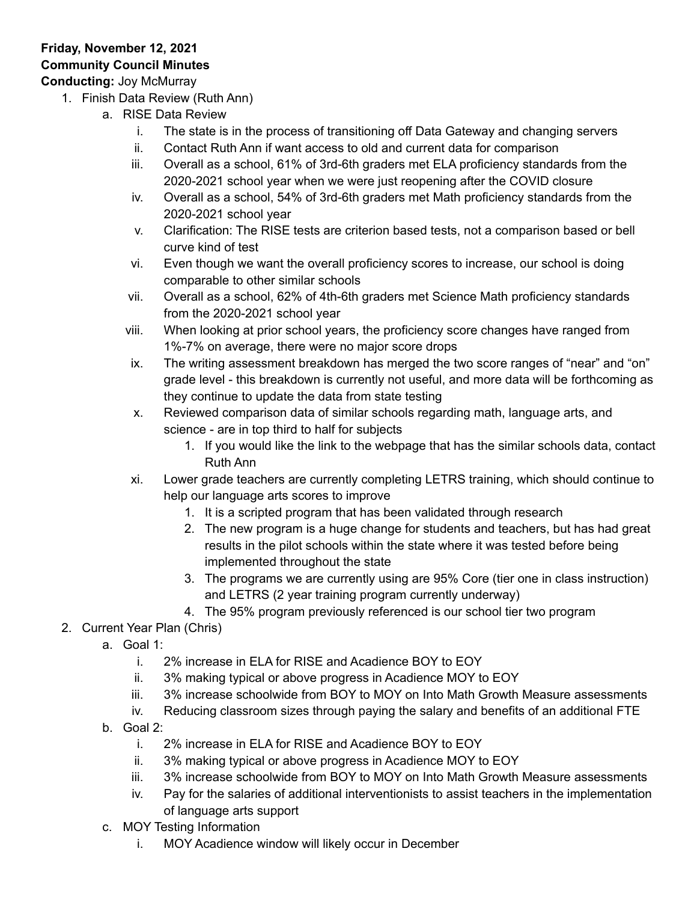## **Friday, November 12, 2021 Community Council Minutes**

**Conducting:** Joy McMurray

- 1. Finish Data Review (Ruth Ann)
	- a. RISE Data Review
		- i. The state is in the process of transitioning off Data Gateway and changing servers
		- ii. Contact Ruth Ann if want access to old and current data for comparison
		- iii. Overall as a school, 61% of 3rd-6th graders met ELA proficiency standards from the 2020-2021 school year when we were just reopening after the COVID closure
		- iv. Overall as a school, 54% of 3rd-6th graders met Math proficiency standards from the 2020-2021 school year
		- v. Clarification: The RISE tests are criterion based tests, not a comparison based or bell curve kind of test
		- vi. Even though we want the overall proficiency scores to increase, our school is doing comparable to other similar schools
		- vii. Overall as a school, 62% of 4th-6th graders met Science Math proficiency standards from the 2020-2021 school year
		- viii. When looking at prior school years, the proficiency score changes have ranged from 1%-7% on average, there were no major score drops
		- ix. The writing assessment breakdown has merged the two score ranges of "near" and "on" grade level - this breakdown is currently not useful, and more data will be forthcoming as they continue to update the data from state testing
		- x. Reviewed comparison data of similar schools regarding math, language arts, and science - are in top third to half for subjects
			- 1. If you would like the link to the webpage that has the similar schools data, contact Ruth Ann
		- xi. Lower grade teachers are currently completing LETRS training, which should continue to help our language arts scores to improve
			- 1. It is a scripted program that has been validated through research
			- 2. The new program is a huge change for students and teachers, but has had great results in the pilot schools within the state where it was tested before being implemented throughout the state
			- 3. The programs we are currently using are 95% Core (tier one in class instruction) and LETRS (2 year training program currently underway)
			- 4. The 95% program previously referenced is our school tier two program
- 2. Current Year Plan (Chris)
	- a. Goal 1:
		- i. 2% increase in ELA for RISE and Acadience BOY to EOY
		- ii. 3% making typical or above progress in Acadience MOY to EOY
		- iii. 3% increase schoolwide from BOY to MOY on Into Math Growth Measure assessments
		- iv. Reducing classroom sizes through paying the salary and benefits of an additional FTE
	- b. Goal 2:
		- i. 2% increase in ELA for RISE and Acadience BOY to EOY
		- ii. 3% making typical or above progress in Acadience MOY to EOY
		- iii. 3% increase schoolwide from BOY to MOY on Into Math Growth Measure assessments
		- iv. Pay for the salaries of additional interventionists to assist teachers in the implementation of language arts support
	- c. MOY Testing Information
		- i. MOY Acadience window will likely occur in December